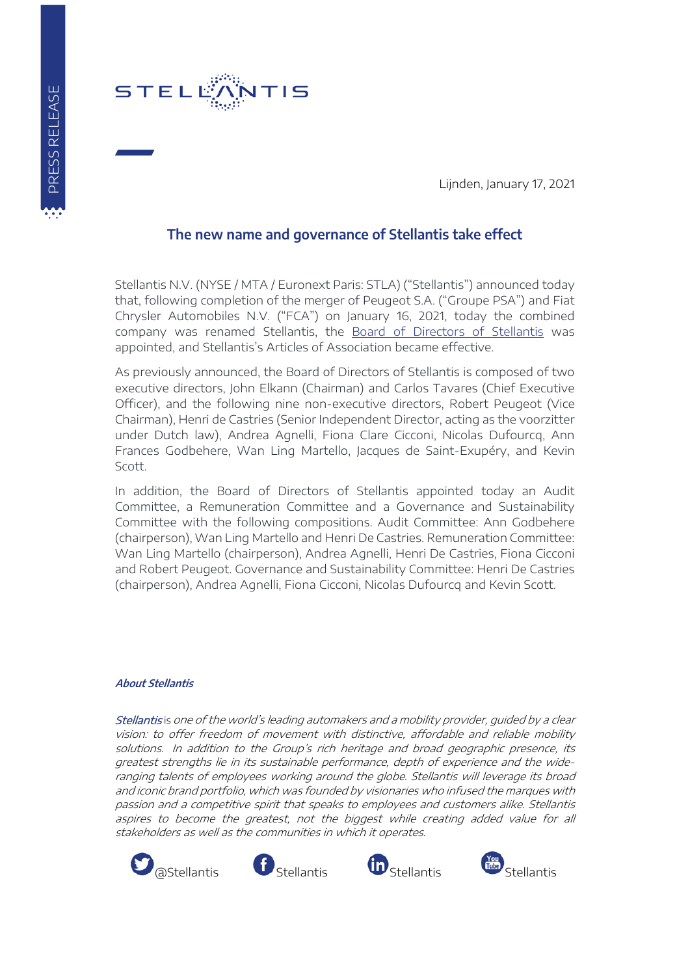

Lijnden, January 17, 2021

## **The new name and governance of Stellantis take effect**

Stellantis N.V. (NYSE / MTA / Euronext Paris: STLA) ("Stellantis") announced today that, following completion of the merger of Peugeot S.A. ("Groupe PSA") and Fiat Chrysler Automobiles N.V. ("FCA") on January 16, 2021, today the combined company was renamed Stellantis, the [Board of Directors of Stellantis](http://www.stellantis.com/en/group/governance/leadership) was appointed, and Stellantis's Articles of Association became effective.

As previously announced, the Board of Directors of Stellantis is composed of two executive directors, John Elkann (Chairman) and Carlos Tavares (Chief Executive Officer), and the following nine non-executive directors, Robert Peugeot (Vice Chairman), Henri de Castries (Senior Independent Director, acting as the voorzitter under Dutch law), Andrea Agnelli, Fiona Clare Cicconi, Nicolas Dufourcq, Ann Frances Godbehere, Wan Ling Martello, Jacques de Saint-Exupéry, and Kevin Scott.

In addition, the Board of Directors of Stellantis appointed today an Audit Committee, a Remuneration Committee and a Governance and Sustainability Committee with the following compositions. Audit Committee: Ann Godbehere (chairperson), Wan Ling Martello and Henri De Castries. Remuneration Committee: Wan Ling Martello (chairperson), Andrea Agnelli, Henri De Castries, Fiona Cicconi and Robert Peugeot. Governance and Sustainability Committee: Henri De Castries (chairperson), Andrea Agnelli, Fiona Cicconi, Nicolas Dufourcq and Kevin Scott.

## **About Stellantis**

Stellantis is one of the world's leading automakers and a mobility provider, guided by a clear vision: to offer freedom of movement with distinctive, affordable and reliable mobility solutions. In addition to the Group's rich heritage and broad geographic presence, its greatest strengths lie in its sustainable performance, depth of experience and the wideranging talents of employees working around the globe. Stellantis will leverage its broad and iconic brand portfolio, which was founded by visionaries who infused the marques with passion and a competitive spirit that speaks to employees and customers alike. Stellantis aspires to become the greatest, not the biggest while creating added value for all stakeholders as well as the communities in which it operates.







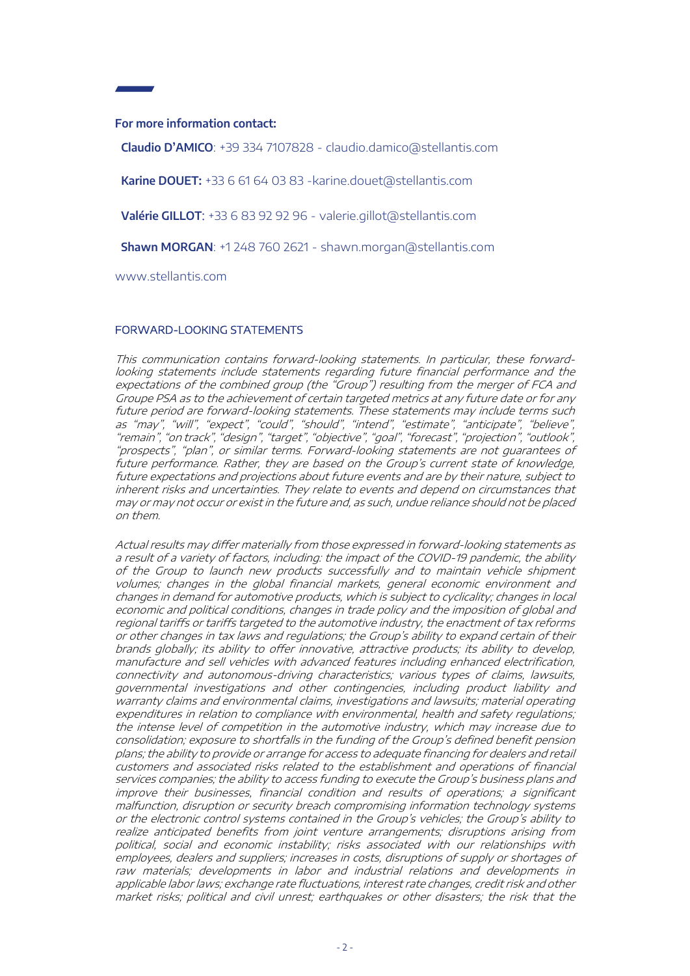## **For more information contact:**

**Claudio D'AMICO**: +39 334 7107828 - [claudio.damico@stellantis.com](mailto:claudio.damico@stellantis.com)

Karine DOUET: +33 6 61 64 03 83 - karine.douet@stellantis.com

**Valérie GILLOT**: +33 6 83 92 92 96 - [valerie.gillot@stellantis.com](mailto:valerie.gillot@stellantis.com) 

**Shawn MORGAN**: +1 248 760 2621 - [shawn.morgan@stellantis.com](mailto:shawn.morgan@stellantis.com)

www.stellantis.com

## FORWARD-LOOKING STATEMENTS

This communication contains forward-looking statements. In particular, these forwardlooking statements include statements regarding future financial performance and the expectations of the combined group (the "Group") resulting from the merger of FCA and Groupe PSA as to the achievement of certain targeted metrics at any future date or for any future period are forward-looking statements. These statements may include terms such as "may", "will", "expect", "could", "should", "intend", "estimate", "anticipate", "believe", "remain", "on track", "design", "target", "objective", "goal", "forecast", "projection", "outlook", "prospects", "plan", or similar terms. Forward-looking statements are not guarantees of future performance. Rather, they are based on the Group's current state of knowledge, future expectations and projections about future events and are by their nature, subject to inherent risks and uncertainties. They relate to events and depend on circumstances that may or may not occur or exist in the future and, as such, undue reliance should not be placed on them.

Actual results may differ materially from those expressed in forward-looking statements as a result of a variety of factors, including: the impact of the COVID-19 pandemic, the ability of the Group to launch new products successfully and to maintain vehicle shipment volumes; changes in the global financial markets, general economic environment and changes in demand for automotive products, which is subject to cyclicality; changes in local economic and political conditions, changes in trade policy and the imposition of global and regional tariffs or tariffs targeted to the automotive industry, the enactment of tax reforms or other changes in tax laws and regulations; the Group's ability to expand certain of their brands globally; its ability to offer innovative, attractive products; its ability to develop, manufacture and sell vehicles with advanced features including enhanced electrification, connectivity and autonomous-driving characteristics; various types of claims, lawsuits, governmental investigations and other contingencies, including product liability and warranty claims and environmental claims, investigations and lawsuits; material operating expenditures in relation to compliance with environmental, health and safety regulations; the intense level of competition in the automotive industry, which may increase due to consolidation; exposure to shortfalls in the funding of the Group's defined benefit pension plans; the ability to provide or arrange for access to adequate financing for dealers and retail customers and associated risks related to the establishment and operations of financial services companies; the ability to access funding to execute the Group's business plans and improve their businesses, financial condition and results of operations; a significant malfunction, disruption or security breach compromising information technology systems or the electronic control systems contained in the Group's vehicles; the Group's ability to realize anticipated benefits from joint venture arrangements; disruptions arising from political, social and economic instability; risks associated with our relationships with employees, dealers and suppliers; increases in costs, disruptions of supply or shortages of raw materials; developments in labor and industrial relations and developments in applicable labor laws; exchange rate fluctuations, interest rate changes, credit risk and other market risks; political and civil unrest; earthquakes or other disasters; the risk that the